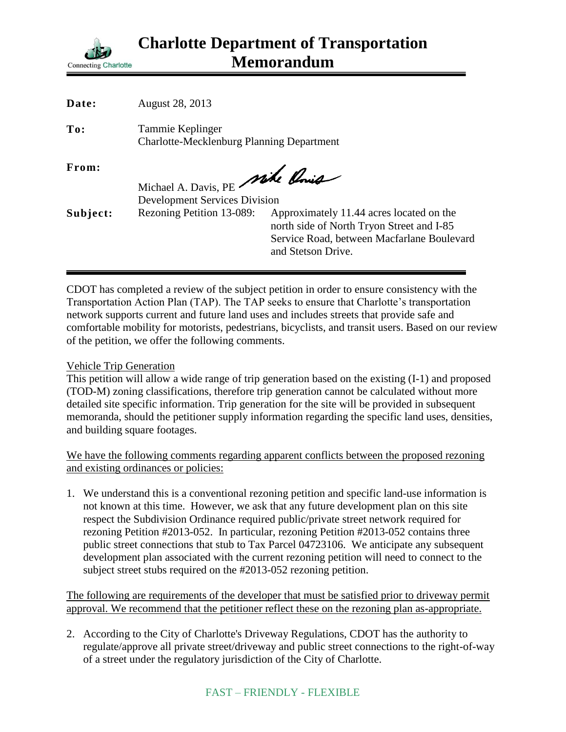

| Date:    | August 28, 2013                                                         |                                                                                                                                                           |
|----------|-------------------------------------------------------------------------|-----------------------------------------------------------------------------------------------------------------------------------------------------------|
| To:      | Tammie Keplinger<br><b>Charlotte-Mecklenburg Planning Department</b>    |                                                                                                                                                           |
| From:    | Michael A. Davis, PE Mike Chris<br><b>Development Services Division</b> |                                                                                                                                                           |
| Subject: | Rezoning Petition 13-089:                                               | Approximately 11.44 acres located on the<br>north side of North Tryon Street and I-85<br>Service Road, between Macfarlane Boulevard<br>and Stetson Drive. |

CDOT has completed a review of the subject petition in order to ensure consistency with the Transportation Action Plan (TAP). The TAP seeks to ensure that Charlotte's transportation network supports current and future land uses and includes streets that provide safe and comfortable mobility for motorists, pedestrians, bicyclists, and transit users. Based on our review of the petition, we offer the following comments.

## Vehicle Trip Generation

This petition will allow a wide range of trip generation based on the existing (I-1) and proposed (TOD-M) zoning classifications, therefore trip generation cannot be calculated without more detailed site specific information. Trip generation for the site will be provided in subsequent memoranda, should the petitioner supply information regarding the specific land uses, densities, and building square footages.

We have the following comments regarding apparent conflicts between the proposed rezoning and existing ordinances or policies:

1. We understand this is a conventional rezoning petition and specific land-use information is not known at this time. However, we ask that any future development plan on this site respect the Subdivision Ordinance required public/private street network required for rezoning Petition #2013-052. In particular, rezoning Petition #2013-052 contains three public street connections that stub to Tax Parcel 04723106. We anticipate any subsequent development plan associated with the current rezoning petition will need to connect to the subject street stubs required on the #2013-052 rezoning petition.

The following are requirements of the developer that must be satisfied prior to driveway permit approval. We recommend that the petitioner reflect these on the rezoning plan as-appropriate.

2. According to the City of Charlotte's Driveway Regulations, CDOT has the authority to regulate/approve all private street/driveway and public street connections to the right-of-way of a street under the regulatory jurisdiction of the City of Charlotte.